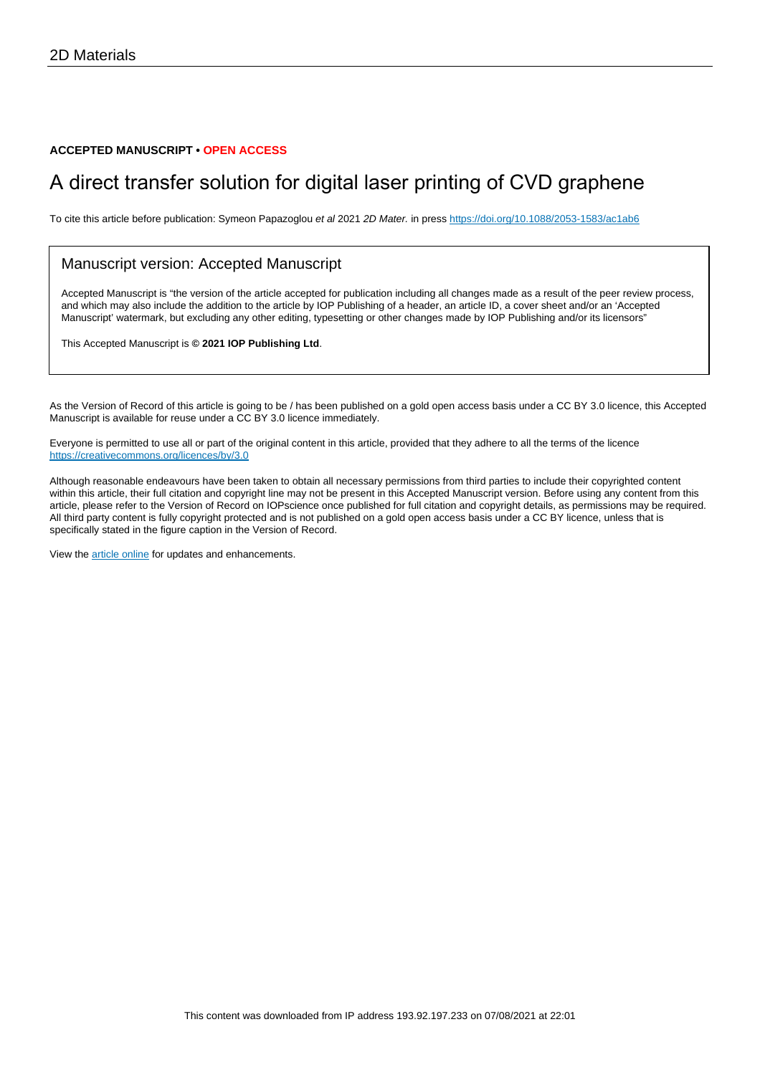#### **ACCEPTED MANUSCRIPT • OPEN ACCESS**

# A direct transfer solution for digital laser printing of CVD graphene

To cite this article before publication: Symeon Papazoglou et al 2021 2D Mater. in press <https://doi.org/10.1088/2053-1583/ac1ab6>

#### Manuscript version: Accepted Manuscript

Accepted Manuscript is "the version of the article accepted for publication including all changes made as a result of the peer review process, and which may also include the addition to the article by IOP Publishing of a header, an article ID, a cover sheet and/or an 'Accepted Manuscript' watermark, but excluding any other editing, typesetting or other changes made by IOP Publishing and/or its licensors"

This Accepted Manuscript is **© 2021 IOP Publishing Ltd**.

As the Version of Record of this article is going to be / has been published on a gold open access basis under a CC BY 3.0 licence, this Accepted Manuscript is available for reuse under a CC BY 3.0 licence immediately.

Everyone is permitted to use all or part of the original content in this article, provided that they adhere to all the terms of the licence <https://creativecommons.org/licences/by/3.0>

Although reasonable endeavours have been taken to obtain all necessary permissions from third parties to include their copyrighted content within this article, their full citation and copyright line may not be present in this Accepted Manuscript version. Before using any content from this article, please refer to the Version of Record on IOPscience once published for full citation and copyright details, as permissions may be required. All third party content is fully copyright protected and is not published on a gold open access basis under a CC BY licence, unless that is specifically stated in the figure caption in the Version of Record.

View the [article online](https://doi.org/10.1088/2053-1583/ac1ab6) for updates and enhancements.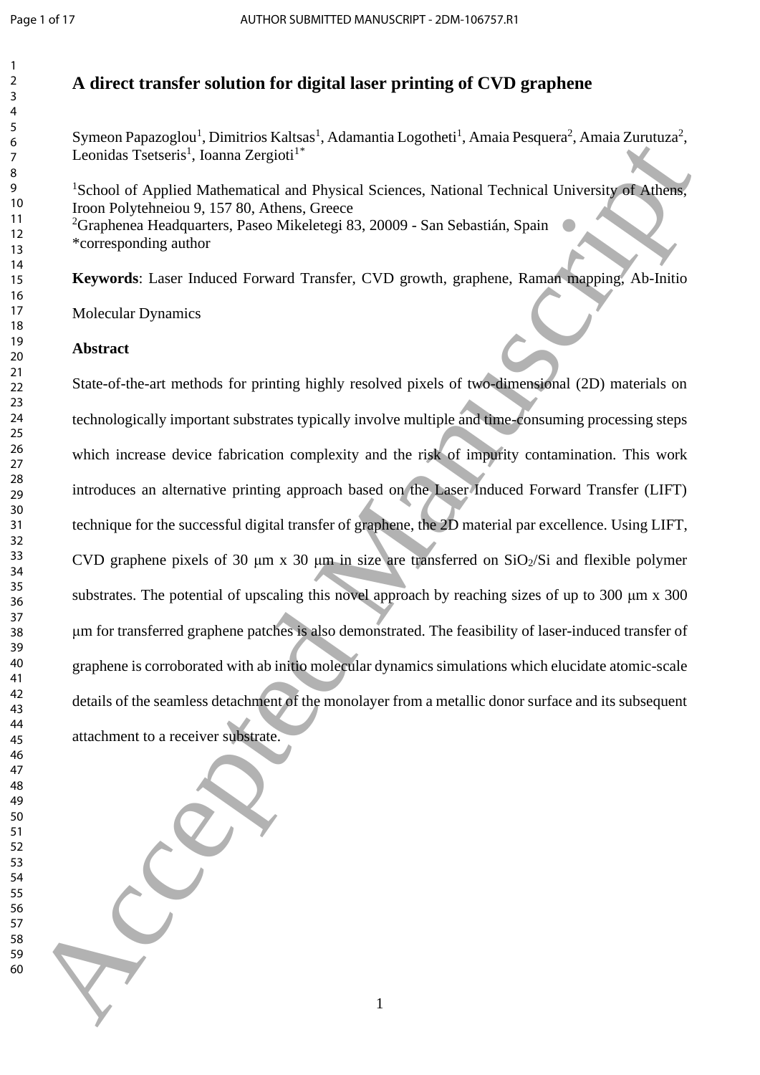# **A direct transfer solution for digital laser printing of CVD graphene**

Symeon Papazoglou<sup>1</sup>, Dimitrios Kaltsas<sup>1</sup>, Adamantia Logotheti<sup>1</sup>, Amaia Pesquera<sup>2</sup>, Amaia Zurutuza<sup>2</sup>, Leonidas Tsetseris<sup>1</sup>, Ioanna Zergioti<sup>1</sup>\*

<sup>1</sup>School of Applied Mathematical and Physical Sciences, National Technical University of Athens, Iroon Polytehneiou 9, 157 80, Athens, Greece Graphenea Headquarters, Paseo Mikeletegi 83, 20009 - San Sebastián, Spain \*corresponding author

**Keywords**: Laser Induced Forward Transfer, CVD growth, graphene, Raman mapping, Ab-Initio

Molecular Dynamics

# **Abstract**

State-of-the-art methods for printing highly resolved pixels of two-dimensional (2D) materials on technologically important substrates typically involve multiple and time-consuming processing steps which increase device fabrication complexity and the risk of impurity contamination. This work introduces an alternative printing approach based on the Laser Induced Forward Transfer (LIFT) technique for the successful digital transfer of graphene, the 2D material par excellence. Using LIFT, CVD graphene pixels of 30  $\mu$ m x 30  $\mu$ m in size are transferred on SiO<sub>2</sub>/Si and flexible polymer substrates. The potential of upscaling this novel approach by reaching sizes of up to 300 μm x 300 μm for transferred graphene patches is also demonstrated. The feasibility of laser-induced transfer of graphene is corroborated with ab initio molecular dynamics simulations which elucidate atomic-scale details of the seamless detachment of the monolayer from a metallic donor surface and its subsequent attachment to a receiver substrate. Symbol and Applies the complete particle is a symbol and the complete particle and the scheme of Applies Manuscript<br>  $\frac{1}{2}$  and  $\frac{1}{2}$  and  $\frac{1}{2}$  and  $\frac{1}{2}$  and  $\frac{1}{2}$  and  $\frac{1}{2}$  and  $\frac{1}{2}$  and  $\frac{1}{$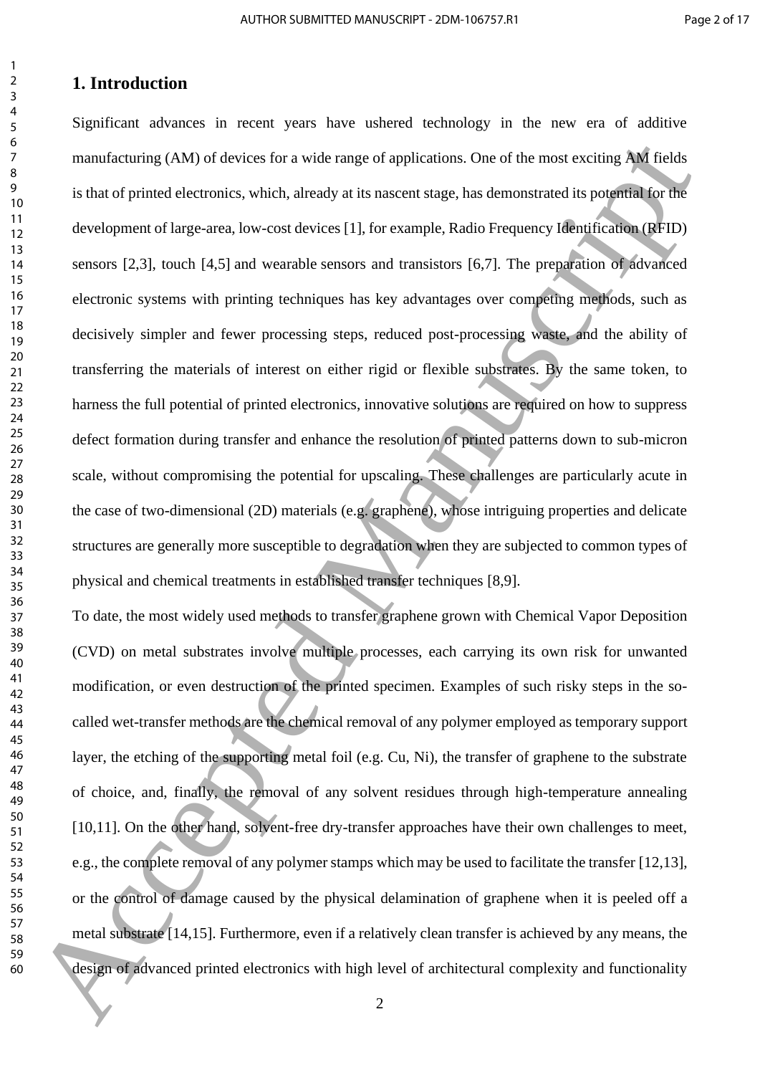# **1. Introduction**

Significant advances in recent years have ushered technology in the new era of additive manufacturing (AM) of devices for a wide range of applications. One of the most exciting AM fields is that of printed electronics, which, already at its nascent stage, has demonstrated its potential for the development of large-area, low-cost devices [1], for example, Radio Frequency Identification (RFID) sensors [2,3], touch [4,5] and wearable sensors and transistors [6,7]. The preparation of advanced electronic systems with printing techniques has key advantages over competing methods, such as decisively simpler and fewer processing steps, reduced post-processing waste, and the ability of transferring the materials of interest on either rigid or flexible substrates. By the same token, to harness the full potential of printed electronics, innovative solutions are required on how to suppress defect formation during transfer and enhance the resolution of printed patterns down to sub-micron scale, without compromising the potential for upscaling. These challenges are particularly acute in the case of two-dimensional (2D) materials (e.g. graphene), whose intriguing properties and delicate structures are generally more susceptible to degradation when they are subjected to common types of physical and chemical treatments in established transfer techniques [8,9]. manufacturing (AM) of devices for a wide range of applications. One of the nost exciting AM fields<br>
is that of primad electronics, which, already at its nascent stage, has demonstrated its potential<br>
is that of primad ele

To date, the most widely used methods to transfer graphene grown with Chemical Vapor Deposition (CVD) on metal substrates involve multiple processes, each carrying its own risk for unwanted modification, or even destruction of the printed specimen. Examples of such risky steps in the socalled wet-transfer methods are the chemical removal of any polymer employed as temporary support layer, the etching of the supporting metal foil (e.g. Cu, Ni), the transfer of graphene to the substrate of choice, and, finally, the removal of any solvent residues through high-temperature annealing [10,11]. On the other hand, solvent-free dry-transfer approaches have their own challenges to meet, e.g., the complete removal of any polymer stamps which may be used to facilitate the transfer [12,13], or the control of damage caused by the physical delamination of graphene when it is peeled off a metal substrate [14,15]. Furthermore, even if a relatively clean transfer is achieved by any means, the design of advanced printed electronics with high level of architectural complexity and functionality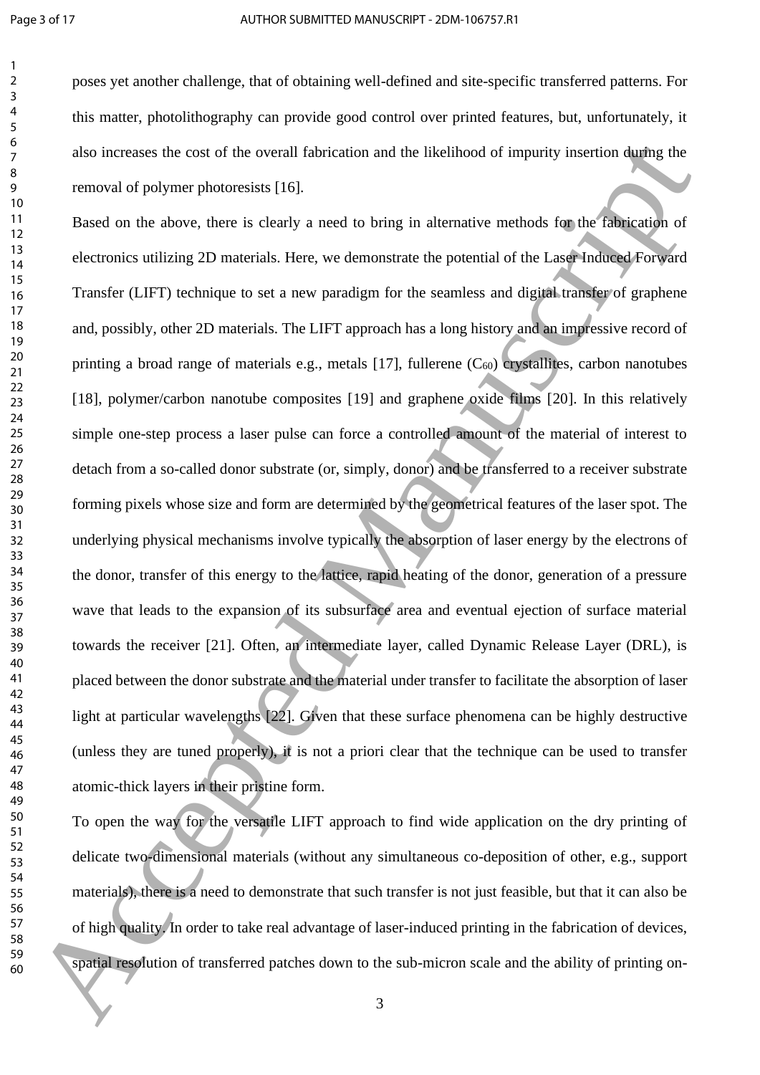poses yet another challenge, that of obtaining well-defined and site-specific transferred patterns. For this matter, photolithography can provide good control over printed features, but, unfortunately, it also increases the cost of the overall fabrication and the likelihood of impurity insertion during the removal of polymer photoresists [16].

Based on the above, there is clearly a need to bring in alternative methods for the fabrication of electronics utilizing 2D materials. Here, we demonstrate the potential of the Laser Induced Forward Transfer (LIFT) technique to set a new paradigm for the seamless and digital transfer of graphene and, possibly, other 2D materials. The LIFT approach has a long history and an impressive record of printing a broad range of materials e.g., metals  $[17]$ , fullerene  $(C_{60})$  crystallites, carbon nanotubes [18], polymer/carbon nanotube composites [19] and graphene oxide films [20]. In this relatively simple one-step process a laser pulse can force a controlled amount of the material of interest to detach from a so-called donor substrate (or, simply, donor) and be transferred to a receiver substrate forming pixels whose size and form are determined by the geometrical features of the laser spot. The underlying physical mechanisms involve typically the absorption of laser energy by the electrons of the donor, transfer of this energy to the lattice, rapid heating of the donor, generation of a pressure wave that leads to the expansion of its subsurface area and eventual ejection of surface material towards the receiver [21]. Often, an intermediate layer, called Dynamic Release Layer (DRL), is placed between the donor substrate and the material under transfer to facilitate the absorption of laser light at particular wavelengths [22]. Given that these surface phenomena can be highly destructive (unless they are tuned properly), it is not a priori clear that the technique can be used to transfer atomic-thick layers in their pristine form. also increases the cost of the overall fibrication and the likelihood of impurity insertion during the<br>
scanood of polymer photocosists [16],<br>
19<br>
19<br>
19<br>
19 Based on the above, then is obsertly a need to bring in alterna

<span id="page-3-0"></span>To open the way for the versatile LIFT approach to find wide application on the dry printing of delicate two-dimensional materials (without any simultaneous co-deposition of other, e.g., support materials), there is a need to demonstrate that such transfer is not just feasible, but that it can also be of high quality. In order to take real advantage of laser-induced printing in the fabrication of devices, spatial resolution of transferred patches down to the sub-micron scale and the ability of printing on-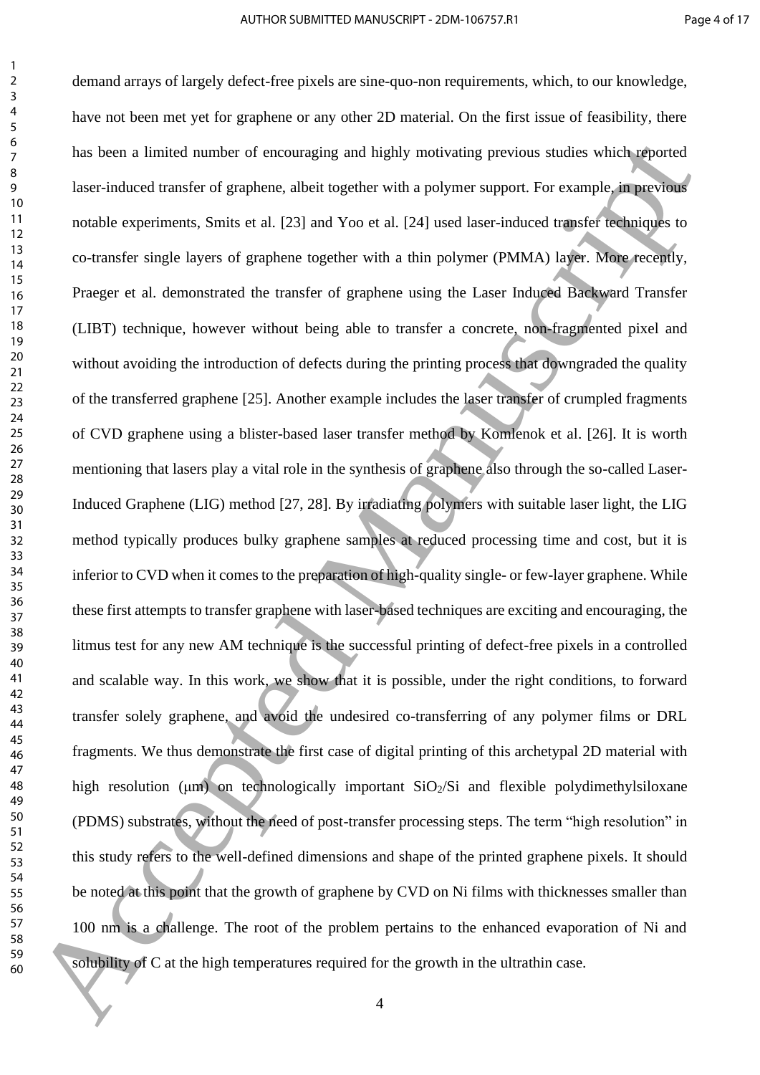<span id="page-4-3"></span><span id="page-4-2"></span><span id="page-4-1"></span><span id="page-4-0"></span>demand arrays of largely defect-free pixels are sine-quo-non requirements, which, to our knowledge, have not been met yet for graphene or any other 2D material. On the first issue of feasibility, there has been a limited number of encouraging and highly motivating previous studies which reported laser-induced transfer of graphene, albeit together with a polymer support. For example, in previous notable experiments, Smits et al. [23] and Yoo et al. [24] used laser-induced transfer techniques to co-transfer single layers of graphene together with a thin polymer (PMMA) layer. More recently, Praeger et al. demonstrated the transfer of graphene using the Laser Induced Backward Transfer (LIBT) technique, however without being able to transfer a concrete, non-fragmented pixel and without avoiding the introduction of defects during the printing process that downgraded the quality of the transferred graphene [25]. Another example includes the laser transfer of crumpled fragments of CVD graphene using a blister-based laser transfer method by Komlenok et al. [26]. It is worth mentioning that lasers play a vital role in the synthesis of graphene also through the so-called Laser-Induced Graphene (LIG) method [27, 28]. By irradiating polymers with suitable laser light, the LIG method typically produces bulky graphene samples at reduced processing time and cost, but it is inferior to CVD when it comes to the preparation of high-quality single- or few-layer graphene. While these first attempts to transfer graphene with laser-based techniques are exciting and encouraging, the litmus test for any new AM technique is the successful printing of defect-free pixels in a controlled and scalable way. In this work, we show that it is possible, under the right conditions, to forward transfer solely graphene, and avoid the undesired co-transferring of any polymer films or DRL fragments. We thus demonstrate the first case of digital printing of this archetypal 2D material with high resolution ( $\mu$ m) on technologically important SiO<sub>2</sub>/Si and flexible polydimethylsiloxane (PDMS) substrates, without the need of post-transfer processing steps. The term "high resolution" in this study refers to the well-defined dimensions and shape of the printed graphene pixels. It should be noted at this point that the growth of graphene by CVD on Ni films with thicknesses smaller than 100 nm is a challenge. The root of the problem pertains to the enhanced evaporation of Ni and solubility of C at the high temperatures required for the growth in the ultrathin case. This boen a limited number of encouraging and highly motivating persions studies which research lase-induced transfer of graphene. allott togather with a polymer support. For example, are provided the studies applicate of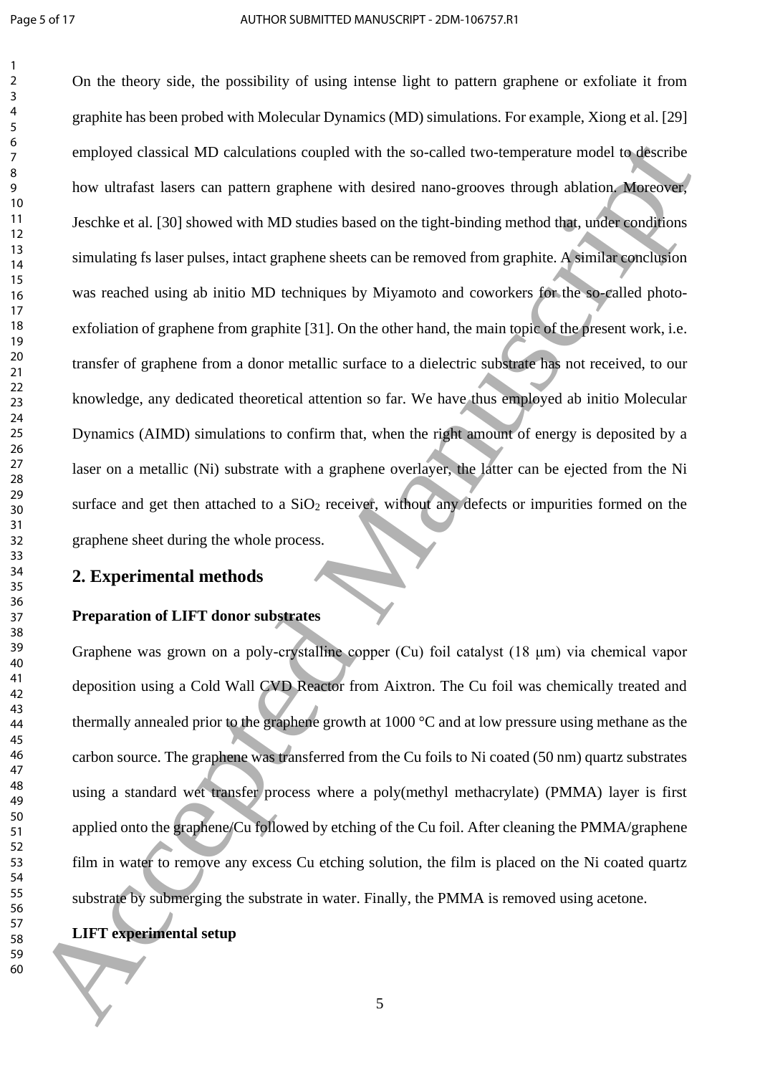On the theory side, the possibility of using intense light to pattern graphene or exfoliate it from graphite has been probed with Molecular Dynamics (MD) simulations. For example, Xiong et al. [29] employed classical MD calculations coupled with the so-called two-temperature model to describe how ultrafast lasers can pattern graphene with desired nano-grooves through ablation. Moreover, Jeschke et al. [30] showed with MD studies based on the tight-binding method that, under conditions simulating fs laser pulses, intact graphene sheets can be removed from graphite. A similar conclusion was reached using ab initio MD techniques by Miyamoto and coworkers for the so-called photoexfoliation of graphene from graphite [31]. On the other hand, the main topic of the present work, i.e. transfer of graphene from a donor metallic surface to a dielectric substrate has not received, to our knowledge, any dedicated theoretical attention so far. We have thus employed ab initio Molecular Dynamics (AIMD) simulations to confirm that, when the right amount of energy is deposited by a laser on a metallic (Ni) substrate with a graphene overlayer, the latter can be ejected from the Ni surface and get then attached to a  $SiO<sub>2</sub>$  receiver, without any defects or impurities formed on the graphene sheet during the whole process. completed classical MD calculations coupled with the so-called two-temperature model to describe<br>bow ultrafast lasers can pattent graphene with desired nano-grosses through abitaion Mechanism<br>19<br>10 Becohe cal. (30) showed

#### **2. Experimental methods**

#### **Preparation of LIFT donor substrates**

Graphene was grown on a poly-crystalline copper (Cu) foil catalyst (18 μm) via chemical vapor deposition using a Cold Wall CVD Reactor from Aixtron. The Cu foil was chemically treated and thermally annealed prior to the graphene growth at 1000 °C and at low pressure using methane as the carbon source. The graphene was transferred from the Cu foils to Ni coated (50 nm) quartz substrates using a standard wet transfer process where a poly(methyl methacrylate) (PMMA) layer is first applied onto the graphene/Cu followed by etching of the Cu foil. After cleaning the PMMA/graphene film in water to remove any excess Cu etching solution, the film is placed on the Ni coated quartz substrate by submerging the substrate in water. Finally, the PMMA is removed using acetone.

# **LIFT experimental setup**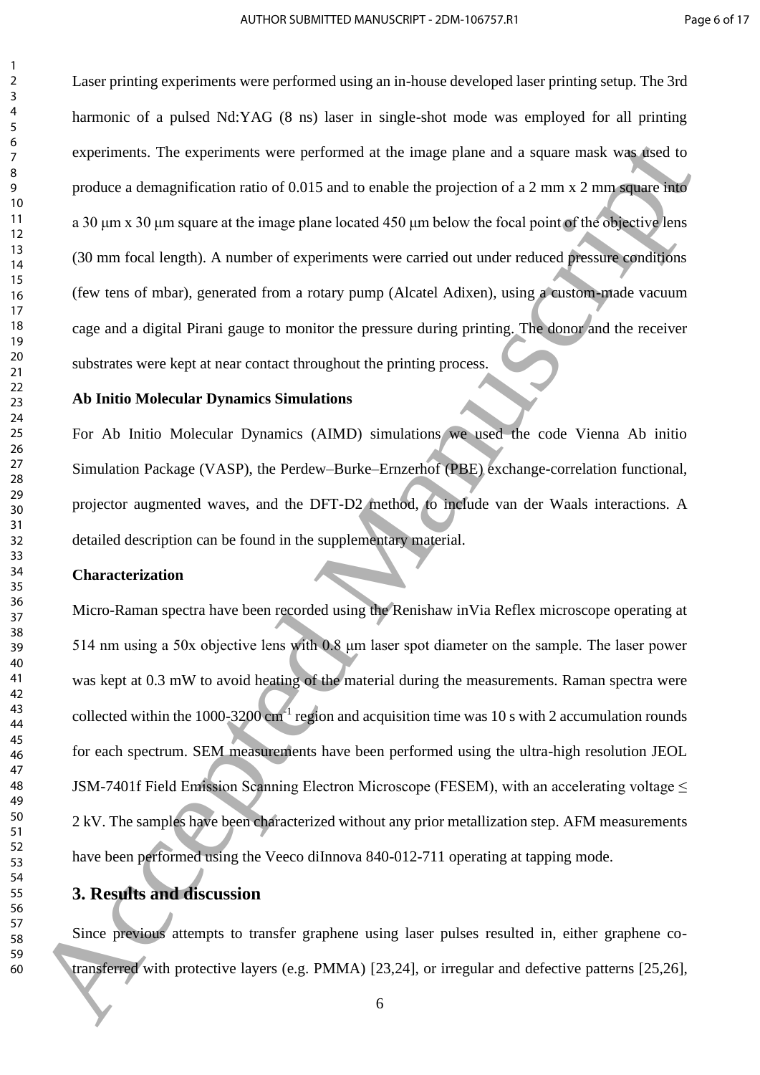Laser printing experiments were performed using an in-house developed laser printing setup. The 3rd harmonic of a pulsed Nd:YAG (8 ns) laser in single-shot mode was employed for all printing experiments. The experiments were performed at the image plane and a square mask was used to produce a demagnification ratio of 0.015 and to enable the projection of a 2 mm x 2 mm square into a 30 μm x 30 μm square at the image plane located 450 μm below the focal point of the objective lens (30 mm focal length). A number of experiments were carried out under reduced pressure conditions (few tens of mbar), generated from a rotary pump (Alcatel Adixen), using a custom-made vacuum cage and a digital Pirani gauge to monitor the pressure during printing. The donor and the receiver substrates were kept at near contact throughout the printing process.

#### **Ab Initio Molecular Dynamics Simulations**

For Ab Initio Molecular Dynamics (AIMD) simulations we used the code Vienna Ab initio Simulation Package (VASP), the Perdew–Burke–Ernzerhof (PBE) exchange-correlation functional, projector augmented waves, and the DFT-D2 method, to include van der Waals interactions. A detailed description can be found in the supplementary material.

#### **Characterization**

Micro-Raman spectra have been recorded using the Renishaw inVia Reflex microscope operating at 514 nm using a 50x objective lens with 0.8 μm laser spot diameter on the sample. The laser power was kept at 0.3 mW to avoid heating of the material during the measurements. Raman spectra were collected within the 1000-3200  $cm^{-1}$  region and acquisition time was 10 s with 2 accumulation rounds for each spectrum. SEM measurements have been performed using the ultra-high resolution JEOL JSM-7401f Field Emission Scanning Electron Microscope (FESEM), with an accelerating voltage  $\leq$ 2 kV. The samples have been characterized without any prior metallization step. AFM measurements have been performed using the Veeco diInnova 840-012-711 operating at tapping mode. experiments. The experiments were performed at the image phare and a square mask was used to<br>produce a demagnification ratio of 0.015 and to suble the projection of a 2 mm x 2 mm square mask<br> $\frac{10}{2}$  and pan s 30 pm s x

# **3. Results and discussion**

Since previous attempts to transfer graphene using laser pulses resulted in, either graphene cotransferred with protective layers (e.g. PMMA) [23,24], or irregular and defective patterns [25,26],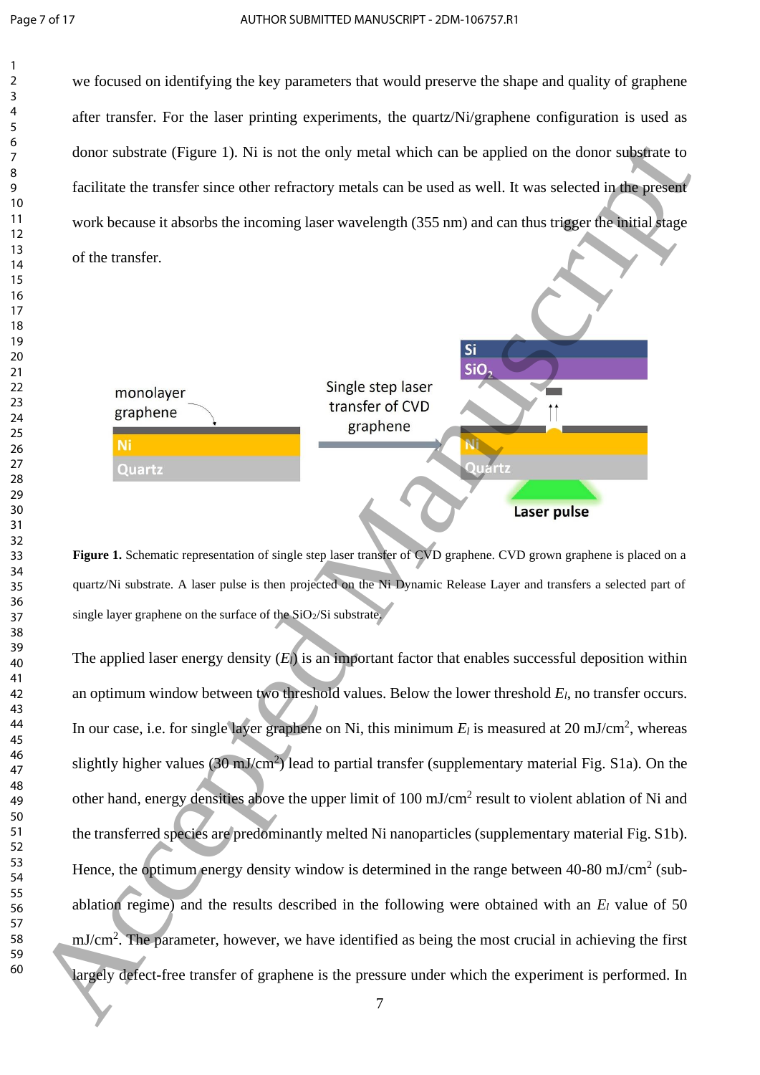we focused on identifying the key parameters that would preserve the shape and quality of graphene after transfer. For the laser printing experiments, the quartz/Ni/graphene configuration is used as donor substrate (Figure 1). Ni is not the only metal which can be applied on the donor substrate to facilitate the transfer since other refractory metals can be used as well. It was selected in the present work because it absorbs the incoming laser wavelength (355 nm) and can thus trigger the initial stage of the transfer.



<span id="page-7-0"></span>**Figure 1.** Schematic representation of single step laser transfer of CVD graphene. CVD grown graphene is placed on a quartz/Ni substrate. A laser pulse is then projected on the Ni Dynamic Release Layer and transfers a selected part of single layer graphene on the surface of the  $SiO<sub>2</sub>/Si$  substrate.

The applied laser energy density (*El*) is an important factor that enables successful deposition within an optimum window between two threshold values. Below the lower threshold *El*, no transfer occurs. In our case, i.e. for single layer graphene on Ni, this minimum  $E_l$  is measured at 20 mJ/cm<sup>2</sup>, whereas slightly higher values  $(30 \text{ mJ/cm}^2)$  lead to partial transfer (supplementary material Fig. S1a). On the other hand, energy densities above the upper limit of  $100 \text{ mJ/cm}^2$  result to violent ablation of Ni and the transferred species are predominantly melted Ni nanoparticles (supplementary material Fig. S1b). Hence, the optimum energy density window is determined in the range between  $40-80$  mJ/cm<sup>2</sup> (subablation regime) and the results described in the following were obtained with an *E<sup>l</sup>* value of 50 mJ/cm<sup>2</sup>. The parameter, however, we have identified as being the most crucial in achieving the first largely defect-free transfer of graphene is the pressure under which the experiment is performed. In denote substrate. (Figure 1.). Ni is not the only metal which can be applied on the donor substrate to facilitate the transfer since other refractory metals as the used is well. It was selected in the present of the trans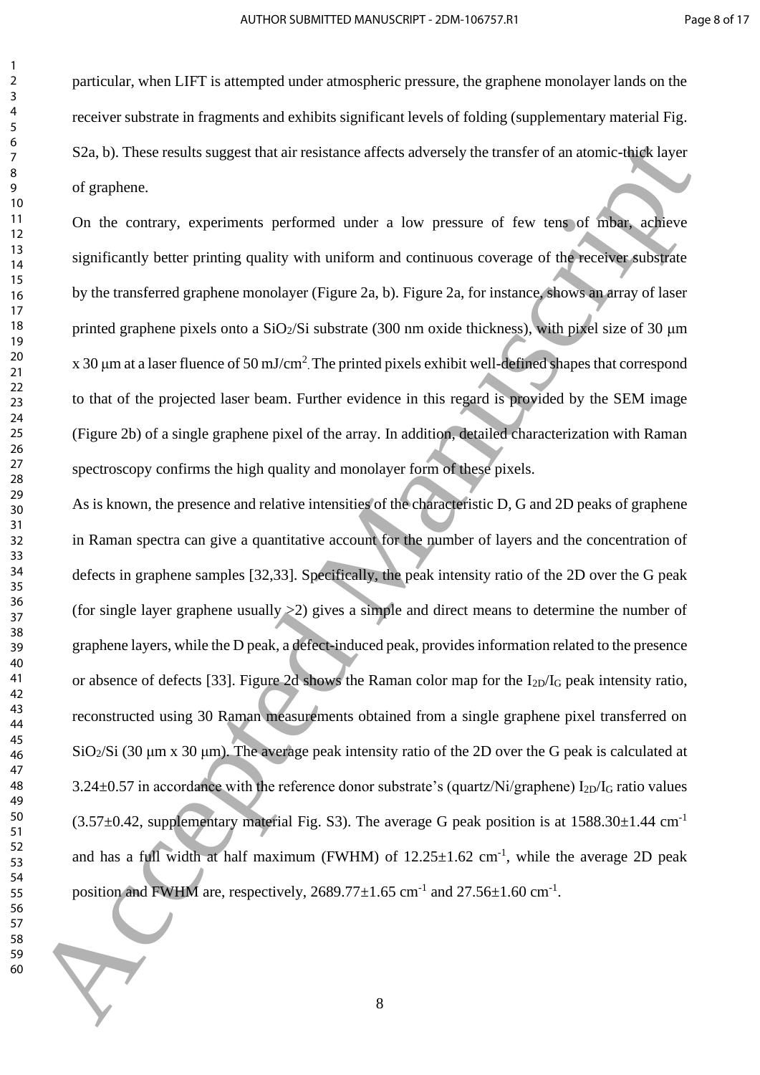particular, when LIFT is attempted under atmospheric pressure, the graphene monolayer lands on the receiver substrate in fragments and exhibits significant levels of folding (supplementary material Fig. S2a, b). These results suggest that air resistance affects adversely the transfer of an atomic-thick layer of graphene.

<span id="page-8-0"></span>On the contrary, experiments performed under a low pressure of few tens of mbar, achieve significantly better printing quality with uniform and continuous coverage of the receiver substrate by the transferred graphene monolayer (Figure 2a, b). Figure 2a, for instance, shows an array of laser printed graphene pixels onto a  $SiO<sub>2</sub>/Si$  substrate (300 nm oxide thickness), with pixel size of 30  $\mu$ m x 30  $\mu$ m at a laser fluence of 50 mJ/cm<sup>2</sup>. The printed pixels exhibit well-defined shapes that correspond to that of the projected laser beam. Further evidence in this regard is provided by the SEM image (Figure 2b) of a single graphene pixel of the array. In addition, detailed characterization with Raman spectroscopy confirms the high quality and monolayer form of these pixels.

As is known, the presence and relative intensities of the characteristic D, G and 2D peaks of graphene in Raman spectra can give a quantitative account for the number of layers and the concentration of defects in graphene samples [32,33]. Specifically, the peak intensity ratio of the 2D over the G peak (for single layer graphene usually >2) gives a simple and direct means to determine the number of graphene layers, while the D peak, a defect-induced peak, provides information related to the presence or absence of defects [33]. Figure 2d shows the Raman color map for the I2D/I<sup>G</sup> peak intensity ratio, reconstructed using 30 Raman measurements obtained from a single graphene pixel transferred on SiO<sub>2</sub>/Si (30 μm x 30 μm). The average peak intensity ratio of the 2D over the G peak is calculated at  $3.24\pm0.57$  in accordance with the reference donor substrate's (quartz/Ni/graphene) I<sub>2D</sub>/I<sub>G</sub> ratio values  $(3.57\pm0.42$ , supplementary material Fig. S3). The average G peak position is at 1588.30 $\pm$ 1.44 cm<sup>-1</sup> and has a full width at half maximum (FWHM) of  $12.25 \pm 1.62$  cm<sup>-1</sup>, while the average 2D peak position and FWHM are, respectively,  $2689.77 \pm 1.65$  cm<sup>-1</sup> and  $27.56 \pm 1.60$  cm<sup>-1</sup>. 52π, b). Those results suggest that air resistance affects adversely the transfer of natural chief layer<br>of graphene.<br>The contrary, experiments performed under a low pressure of few tens of mini-agine<br>of nice contrary, e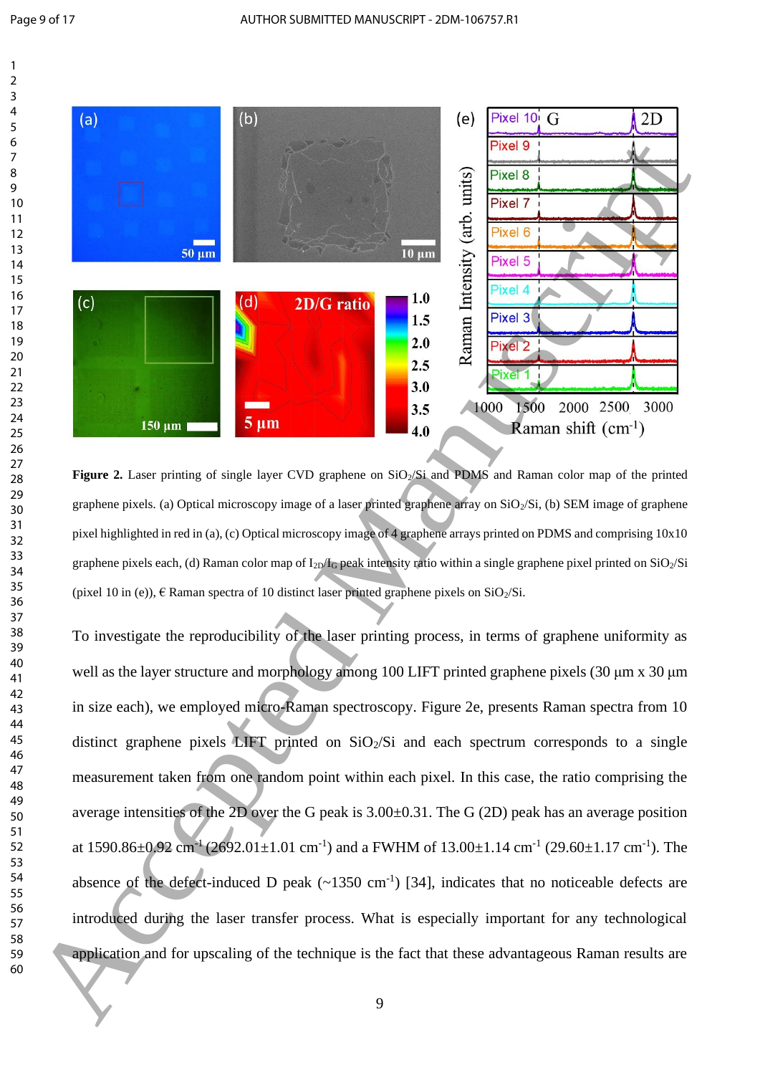

<span id="page-9-0"></span>Figure 2. Laser printing of single layer CVD graphene on SiO<sub>2</sub>/Si and PDMS and Raman color map of the printed graphene pixels. (a) Optical microscopy image of a laser printed graphene array on  $SiO<sub>2</sub>/Si$ , (b) SEM image of graphene pixel highlighted in red in (a), (c) Optical microscopy image of 4 graphene arrays printed on PDMS and comprising 10x10 graphene pixels each, (d) Raman color map of I<sub>2D</sub>/I<sub>G</sub> peak intensity ratio within a single graphene pixel printed on SiO<sub>2</sub>/Si (pixel 10 in (e)),  $\epsilon$  Raman spectra of 10 distinct laser printed graphene pixels on SiO<sub>2</sub>/Si.

<span id="page-9-1"></span>To investigate the reproducibility of the laser printing process, in terms of graphene uniformity as well as the layer structure and morphology among 100 LIFT printed graphene pixels (30 μm x 30 μm in size each), we employed micro-Raman spectroscopy. Figure 2e, presents Raman spectra from 10 distinct graphene pixels LIFT printed on  $SiO<sub>2</sub>/Si$  and each spectrum corresponds to a single measurement taken from one random point within each pixel. In this case, the ratio comprising the average intensities of the 2D over the G peak is 3.00±0.31. The G (2D) peak has an average position at  $1590.86 \pm 0.92$  cm<sup>-1</sup> (2692.01 $\pm$ 1.01 cm<sup>-1</sup>) and a FWHM of  $13.00 \pm 1.14$  cm<sup>-1</sup> (29.60 $\pm$ 1.17 cm<sup>-1</sup>). The absence of the defect-induced D peak  $(\sim 1350 \text{ cm}^{-1})$  [34], indicates that no noticeable defects are introduced during the laser transfer process. What is especially important for any technological application and for upscaling of the technique is the fact that these advantageous Raman results are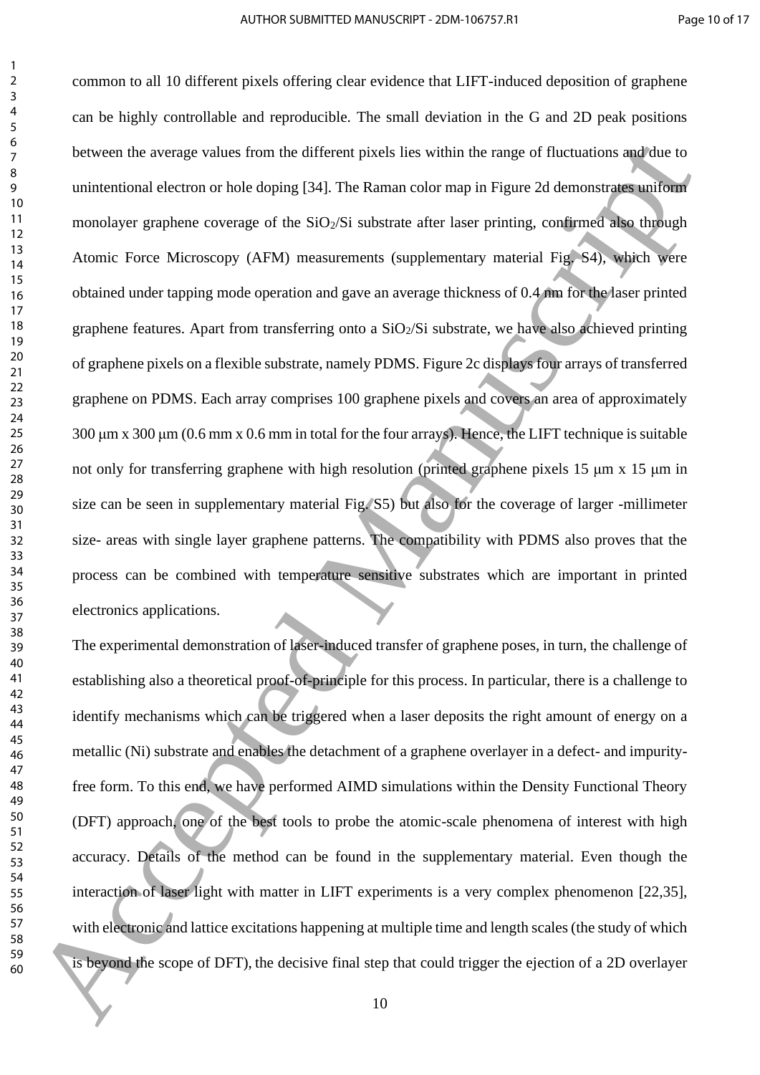common to all 10 different pixels offering clear evidence that LIFT-induced deposition of graphene can be highly controllable and reproducible. The small deviation in the G and 2D peak positions between the average values from the different pixels lies within the range of fluctuations and due to unintentional electron or hole doping [34]. The Raman color map in Figure 2d demonstrates uniform monolayer graphene coverage of the  $SiO<sub>2</sub>/Si$  substrate after laser printing, confirmed also through Atomic Force Microscopy (AFM) measurements (supplementary material Fig. S4), which were obtained under tapping mode operation and gave an average thickness of 0.4 nm for the laser printed graphene features. Apart from transferring onto a  $SiO<sub>2</sub>/Si$  substrate, we have also achieved printing of graphene pixels on a flexible substrate, namely PDMS. Figure 2c displays four arrays of transferred graphene on PDMS. Each array comprises 100 graphene pixels and covers an area of approximately 300 μm x 300 μm (0.6 mm x 0.6 mm in total for the four arrays). Hence, the LIFT technique is suitable not only for transferring graphene with high resolution (printed graphene pixels 15 μm x 15 μm in size can be seen in supplementary material Fig. S5) but also for the coverage of larger -millimeter size- areas with single layer graphene patterns. The compatibility with PDMS also proves that the process can be combined with temperature sensitive substrates which are important in printed electronics applications. between the average val[u](#page-9-0)es from the different pixels lies within the range of fluctuations and the to<br>
unimational electron or hole doping [34]. The Raman color map in Figure 2d domonstrate multimeral<br>
10<br>
10<br>
10<br>
10 Abom

The experimental demonstration of laser-induced transfer of graphene poses, in turn, the challenge of establishing also a theoretical proof-of-principle for this process. In particular, there is a challenge to identify mechanisms which can be triggered when a laser deposits the right amount of energy on a metallic (Ni) substrate and enables the detachment of a graphene overlayer in a defect- and impurityfree form. To this end, we have performed AIMD simulations within the Density Functional Theory (DFT) approach, one of the best tools to probe the atomic-scale phenomena of interest with high accuracy. Details of the method can be found in the supplementary material. Even though the interaction of laser light with matter in LIFT experiments is a very complex phenomenon [22,35], with electronic and lattice excitations happening at multiple time and length scales (the study of which is beyond the scope of DFT), the decisive final step that could trigger the ejection of a 2D overlayer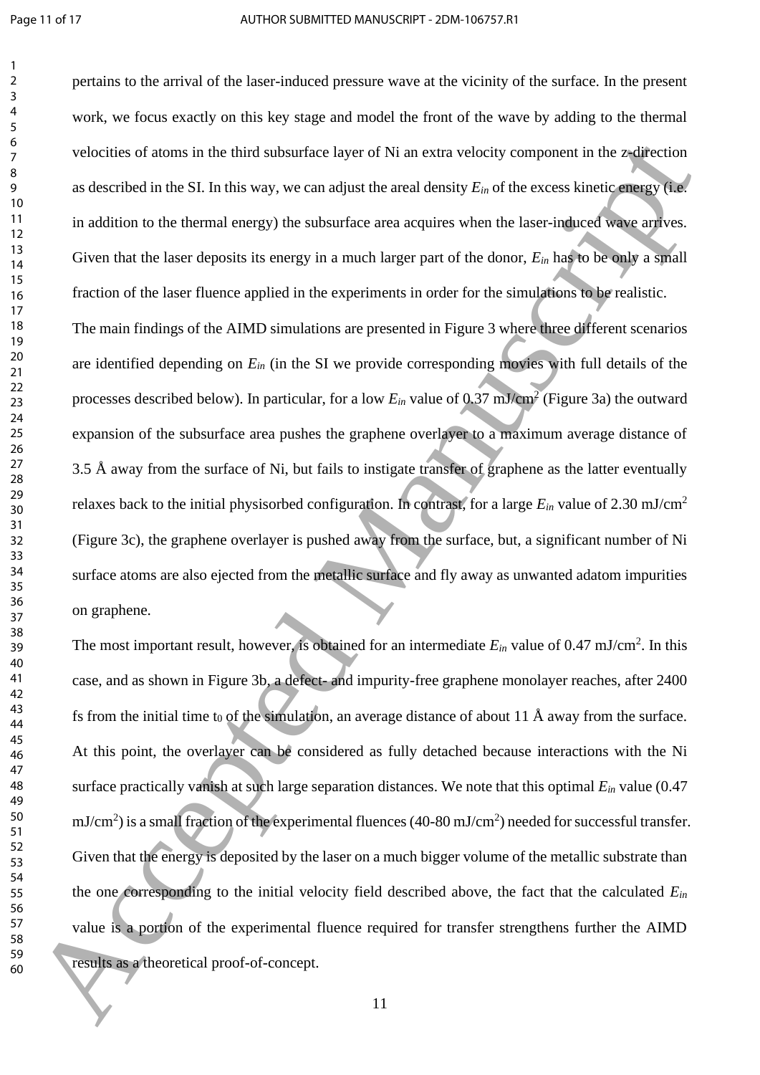pertains to the arrival of the laser-induced pressure wave at the vicinity of the surface. In the present work, we focus exactly on this key stage and model the front of the wave by adding to the thermal velocities of atoms in the third subsurface layer of Ni an extra velocity component in the z-direction as described in the SI. In this way, we can adjust the areal density *Ein* of the excess kinetic energy (i.e. in addition to the thermal energy) the subsurface area acquires when the laser-induced wave arrives. Given that the laser deposits its energy in a much larger part of the donor, *Ein* has to be only a small fraction of the laser fluence applied in the experiments in order for the simulations to be realistic. The main findings of the AIMD simulations are presented in Figure 3 where three different scenarios are identified depending on *Ein* (in the SI we provide corresponding movies with full details of the processes described below). In particular, for a low  $E_{in}$  value of 0.37 mJ/cm<sup>2</sup> (Figure 3a) the outward expansion of the subsurface area pushes the graphene overlayer to a maximum average distance of 3.5 Å away from the surface of Ni, but fails to instigate transfer of graphene as the latter eventually relaxes back to the initial physisorbed configuration. In contrast, for a large *Ein* value of 2.30 mJ/cm<sup>2</sup> (Figure 3c), the graphene overlayer is pushed away from the surface, but, a significant number of Ni surface atoms are also ejected from the metallic surface and fly away as unwanted adatom impurities on graphene. velocitie[s](#page-12-0) of atoms in the third subsurface hayer of Ni an extra velocity component in the zwitter<br>time as described in the SL In this way, we can adjust the acad density  $E_0$  of the excess kinetic group Take<br>
10 Maditio

The most important result, however, is obtained for an intermediate  $E_{in}$  value of 0.47 mJ/cm<sup>2</sup>. In this case, and as shown in Figure 3b, a defect- and impurity-free graphene monolayer reaches, after 2400 fs from the initial time t<sub>0</sub> of the simulation, an average distance of about 11 Å away from the surface. At this point, the overlayer can be considered as fully detached because interactions with the Ni surface practically vanish at such large separation distances. We note that this optimal *Ein* value (0.47  $mJ/cm<sup>2</sup>$ ) is a small fraction of the experimental fluences (40-80 mJ/cm<sup>2</sup>) needed for successful transfer. Given that the energy is deposited by the laser on a much bigger volume of the metallic substrate than the one corresponding to the initial velocity field described above, the fact that the calculated *Ein* value is a portion of the experimental fluence required for transfer strengthens further the AIMD results as a theoretical proof-of-concept.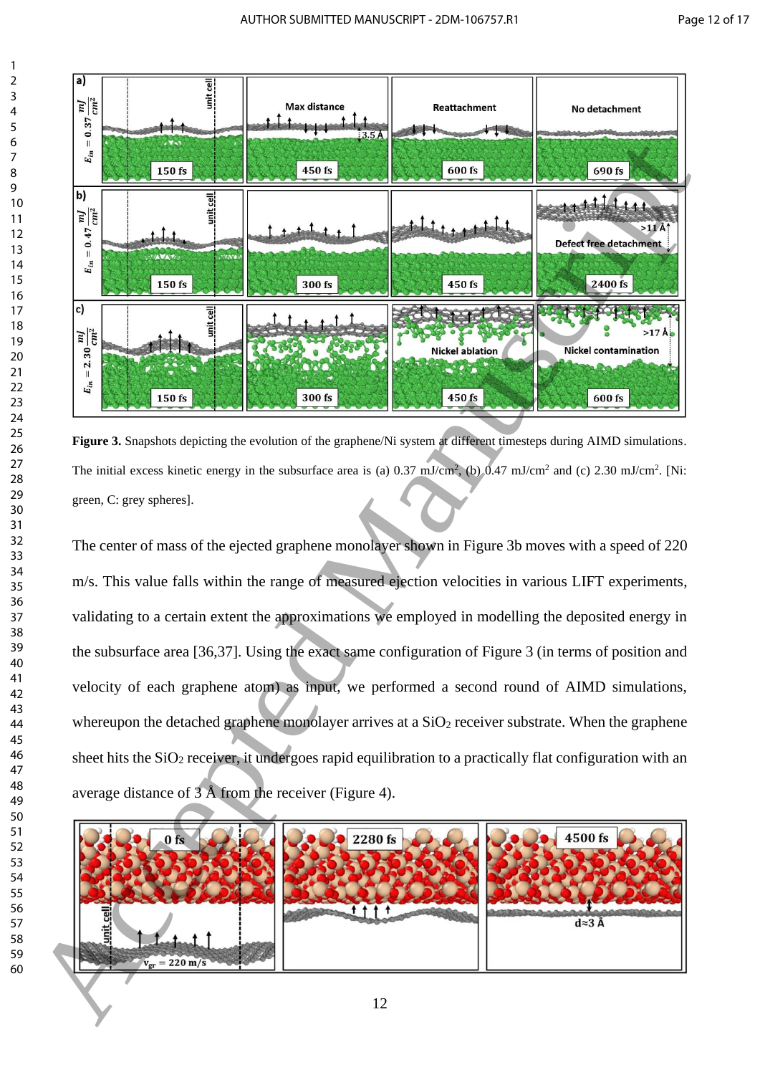

<span id="page-12-0"></span>**Figure** 3. Snapshots depicting the evolution of the graphene/Ni system at different timesteps during AIMD simulations. The initial excess kinetic energy in the subsurface area is (a)  $0.37 \text{ mJ/cm}^2$ , (b)  $0.47 \text{ mJ/cm}^2$  and (c)  $2.30 \text{ mJ/cm}^2$ . [Ni: green, C: grey spheres].

The center of mass of the ejected graphene monolayer shown in Figure 3b moves with a speed of 220 m/s. This value falls within the range of measured ejection velocities in various LIFT experiments, validating to a certain extent the approximations we employed in modelling the deposited energy in the subsurface area [36,37]. Using the exact same configuration of Figure 3 (in terms of position and velocity of each graphene atom) as input, we performed a second round of AIMD simulations, whereupon the detached graphene monolayer arrives at a  $SiO<sub>2</sub>$  receiver substrate. When the graphene sheet hits the  $SiO<sub>2</sub>$  receiver, it undergoes rapid equilibration to a practically flat configuration with an average distance of 3 Å from the receiver (Figure 4).

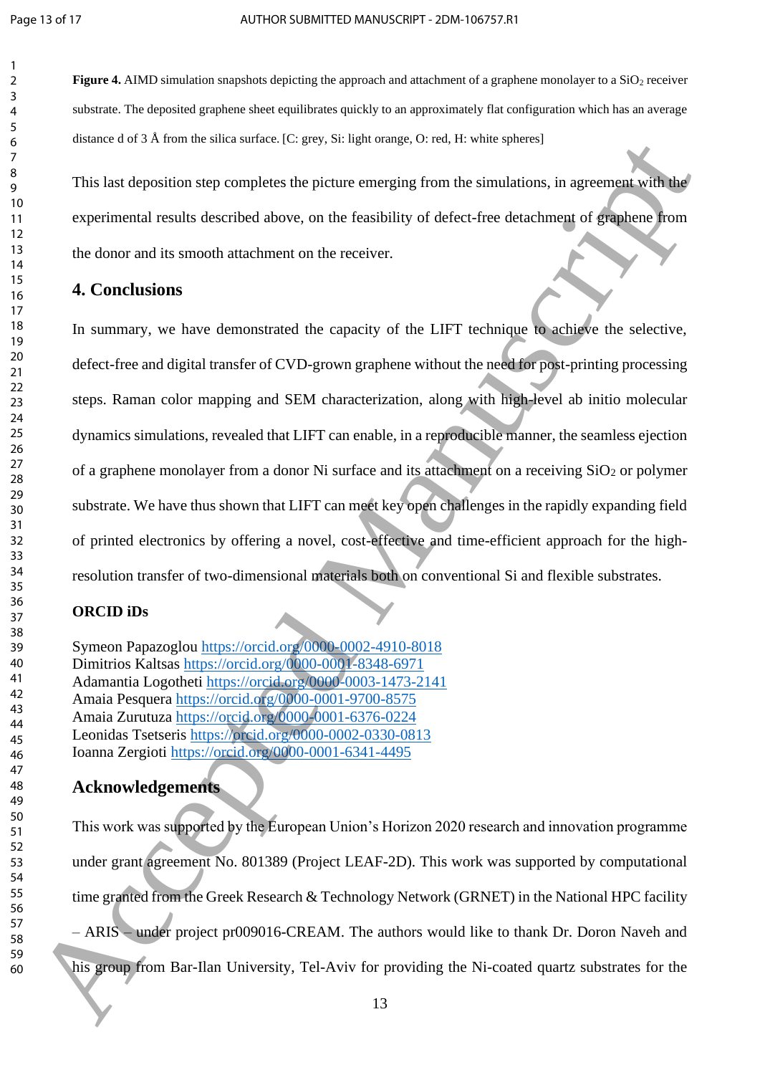<span id="page-13-0"></span>**Figure 4.** AIMD simulation snapshots depicting the approach and attachment of a graphene monolayer to a SiO<sub>2</sub> receiver substrate. The deposited graphene sheet equilibrates quickly to an approximately flat configuration which has an average distance d of 3 Å from the silica surface. [C: grey, Si: light orange, O: red, H: white spheres]

This last deposition step completes the picture emerging from the simulations, in agreement with the experimental results described above, on the feasibility of defect-free detachment of graphene from the donor and its smooth attachment on the receiver.

# **4. Conclusions**

In summary, we have demonstrated the capacity of the LIFT technique to achieve the selective, defect-free and digital transfer of CVD-grown graphene without the need for post-printing processing steps. Raman color mapping and SEM characterization, along with high-level ab initio molecular dynamics simulations, revealed that LIFT can enable, in a reproducible manner, the seamless ejection of a graphene monolayer from a donor Ni surface and its attachment on a receiving  $SiO<sub>2</sub>$  or polymer substrate. We have thus shown that LIFT can meet key open challenges in the rapidly expanding field of printed electronics by offering a novel, cost-effective and time-efficient approach for the highresolution transfer of two-dimensional materials both on conventional Si and flexible substrates. observe to a Acce[pt](https://orcid.org/0000-0001-6341-4495)[e](https://orcid.org/0000-0001-6376-0224)[d](https://orcid.org/0000-0002-4910-8018) monotone (i.e. app. 3): high comparison with the sympathesis of the properties of the sympathesis of the sympathesis of the sympathesis of the sympathesis of the sympathesis of the sympathesis of the

# **ORCID iDs**

Symeon Papazoglou https://orcid.org/0000-0002-4910-8018 Dimitrios Kaltsas https://orcid.org/0000-0001-8348-6971 Adamantia Logotheti https://orcid.org/0000-0003-1473-2141 Amaia Pesquera https://orcid.org/0000-0001-9700-8575 Amaia Zurutuza https://orcid.org/0000-0001-6376-0224 Leonidas Tsetseris https://orcid.org/0000-0002-0330-0813 Ioanna Zergioti https://orcid.org/0000-0001-6341-4495

# **Acknowledgements**

This work was supported by the European Union's Horizon 2020 research and innovation programme under grant agreement No. 801389 (Project LEAF-2D). This work was supported by computational time granted from the Greek Research & Technology Network (GRNET) in the National HPC facility – ARIS – under project pr009016-CREAM. The authors would like to thank Dr. Doron Naveh and his group from Bar-Ilan University, Tel-Aviv for providing the Ni-coated quartz substrates for the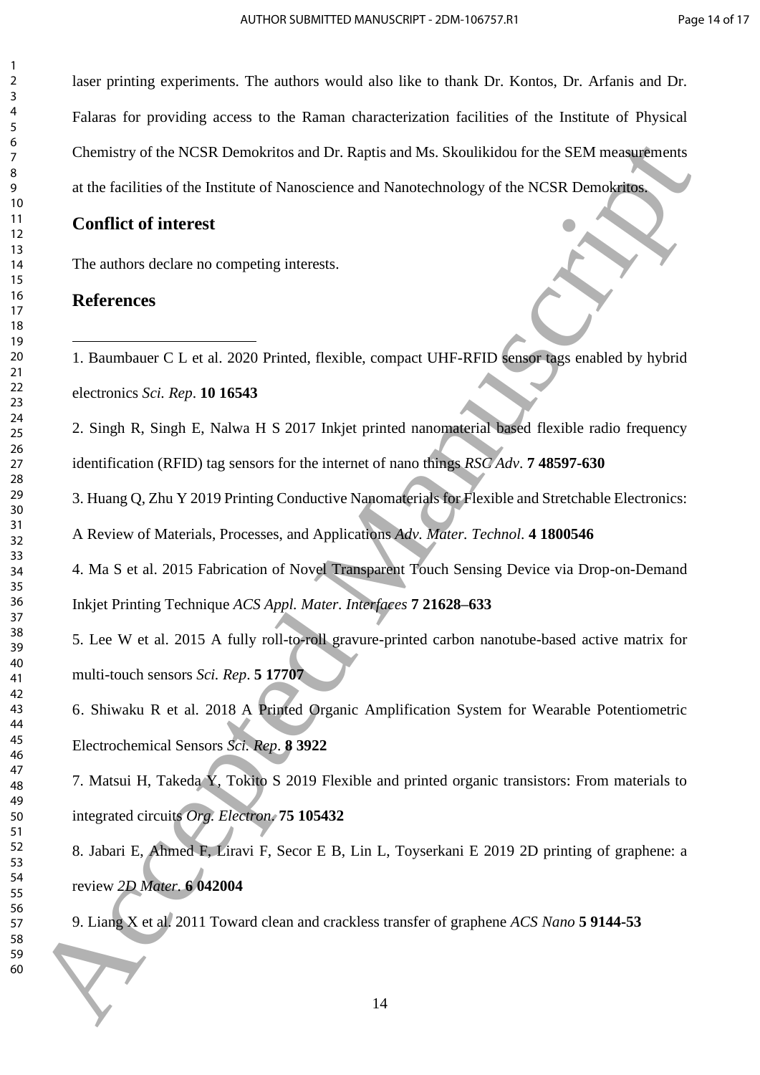laser printing experiments. The authors would also like to thank Dr. Kontos, Dr. Arfanis and Dr. Falaras for providing access to the Raman characterization facilities of the Institute of Physical Chemistry of the NCSR Demokritos and Dr. Raptis and Ms. Skoulikidou for the SEM measurements at the facilities of the Institute of Nanoscience and Nanotechnology of the NCSR Demokritos. Chemistry of the NCSR Demokritos and Dr. Raptis and Ms. Shoullkidon for the SEM measurements<br>
at the facilities of the Institute of Nanoscience and Nanoncelnology of the NCSR Demokration<br>
10 10<br>
10 10<br>
10 accepted Manuscr

# **Conflict of interest**

The authors declare no competing interests.

# **References**

1. Baumbauer C L et al. 2020 Printed, flexible, compact UHF-RFID sensor tags enabled by hybrid electronics *Sci. Rep*. **10 16543**

2. Singh R, Singh E, Nalwa H S 2017 Inkjet printed nanomaterial based flexible radio frequency identification (RFID) tag sensors for the internet of nano things *RSC Adv*. **7 48597-630**

3. Huang Q, Zhu Y 2019 Printing Conductive Nanomaterials for Flexible and Stretchable Electronics:

A Review of Materials, Processes, and Applications *Adv. Mater. Technol*. **4 1800546**

4. Ma S et al. 2015 Fabrication of Novel Transparent Touch Sensing Device via Drop-on-Demand Inkjet Printing Technique *ACS Appl. Mater. Interfaces* **7 21628–633**

5. Lee W et al. 2015 A fully roll-to-roll gravure-printed carbon nanotube-based active matrix for multi-touch sensors *Sci. Rep*. **5 17707**

6. Shiwaku R et al. 2018 A Printed Organic Amplification System for Wearable Potentiometric Electrochemical Sensors *Sci. Rep*. **8 3922**

7. Matsui H, Takeda Y, Tokito S 2019 Flexible and printed organic transistors: From materials to integrated circuits *Org. Electron*. **75 105432**

8. Jabari E, Ahmed F, Liravi F, Secor E B, Lin L, Toyserkani E 2019 2D printing of graphene: a review *2D Mater.* **6 042004**

9. Liang X et al. 2011 Toward clean and crackless transfer of graphene *ACS Nano* **5 9144-53**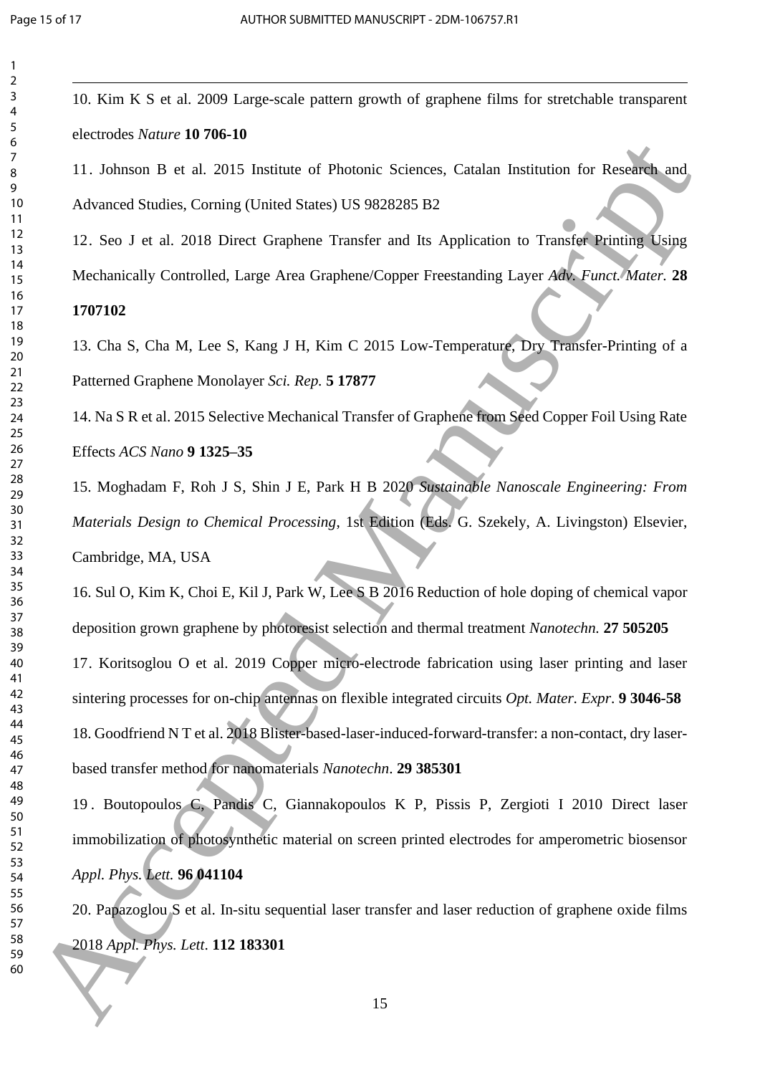| 2                            |
|------------------------------|
| 3                            |
|                              |
| 4                            |
| 5                            |
| 6                            |
|                              |
|                              |
| 8                            |
| $\mathbf$<br>)               |
|                              |
| 10                           |
| 1<br>$\mathbf{1}$            |
| 1<br>C                       |
|                              |
| 13                           |
| 1<br>4                       |
| 15                           |
|                              |
| 16                           |
| 1                            |
| 18                           |
|                              |
| 19                           |
| 20                           |
| $\overline{21}$              |
|                              |
| $\overline{2}$<br>,          |
| $\overline{2}$<br>3          |
| $\overline{24}$              |
|                              |
| 25                           |
| 26                           |
| $^{27}$                      |
|                              |
| 28                           |
| 29                           |
| 30                           |
|                              |
| $\overline{\textbf{3}}$      |
| $\overline{\mathbf{3}}$<br>, |
| $\overline{\mathbf{3}}$<br>3 |
|                              |
| 34                           |
| 35                           |
| 36                           |
|                              |
| 37                           |
| 38                           |
| $\frac{3}{2}$<br>C           |
|                              |
| 40                           |
| 41                           |
| 42                           |
| ξ                            |
| 4                            |
| 44                           |
| 45                           |
|                              |
| 46                           |
| 47                           |
| 48                           |
|                              |
| 49                           |
| 50                           |
| 51                           |
| 5<br>$\overline{c}$          |
|                              |
| 5.<br>ξ                      |
| 54                           |
| 55                           |
|                              |
| 56                           |
| 57                           |
| 58                           |
|                              |
| 59                           |

10. Kim K S et al. 2009 Large-scale pattern growth of graphene films for stretchable transparent electrodes *Nature* **10 706-10**

11. Johnson B et al. 2015 Institute of Photonic Sciences, Catalan Institution for Research and Advanced Studies, Corning (United States) US 9828285 B2

12. Seo J et al. 2018 Direct Graphene Transfer and Its Application to Transfer Printing Using

Mechanically Controlled, Large Area Graphene/Copper Freestanding Layer *Adv. Funct. Mater.* **28**

# 

13. Cha S, Cha M, Lee S, Kang J H, Kim C 2015 Low-Temperature, Dry Transfer-Printing of a Patterned Graphene Monolayer *Sci. Rep.* **5 17877**

14. Na S R et al. 2015 Selective Mechanical Transfer of Graphene from Seed Copper Foil Using Rate Effects *ACS Nano* **9 1325–35**

15. Moghadam F, Roh J S, Shin J E, Park H B 2020 *Sustainable Nanoscale Engineering: From Materials Design to Chemical Processing*, 1st Edition (Eds. G. Szekely, A. Livingston) Elsevier, Cambridge, MA, USA

16. Sul O, Kim K, Choi E, Kil J, Park W, Lee S B 2016 Reduction of hole doping of chemical vapor deposition grown graphene by photoresist selection and thermal treatment *Nanotechn.* **27 505205** 17. Koritsoglou O et al. 2019 Copper micro-electrode fabrication using laser printing and laser sintering processes for on-chip antennas on flexible integrated circuits *Opt. Mater. Expr*. **9 3046-58** 18. Goodfriend N T et al. 2018 Blister-based-laser-induced-forward-transfer: a non-contact, dry laserbased transfer method for nanomaterials *Nanotechn*. **29 385301**  11. Johnson H. e. at. 2015 Institute of Photomic Sciences, Catalan Institution for Research, and<br>
11. Johnson H. e. at. 2015 Institute of Photomic Sciences, Catalan Institute for Research and<br>
12. Seo J. et al. 2015 Direc

 . Boutopoulos C, Pandis C, Giannakopoulos K P, Pissis P, Zergioti I 2010 Direct laser immobilization of photosynthetic material on screen printed electrodes for amperometric biosensor *Appl. Phys. Lett.* **96 041104** 

20. Papazoglou  $\overline{S}$  et al. In-situ sequential laser transfer and laser reduction of graphene oxide films *Appl. Phys. Lett*. **112 183301**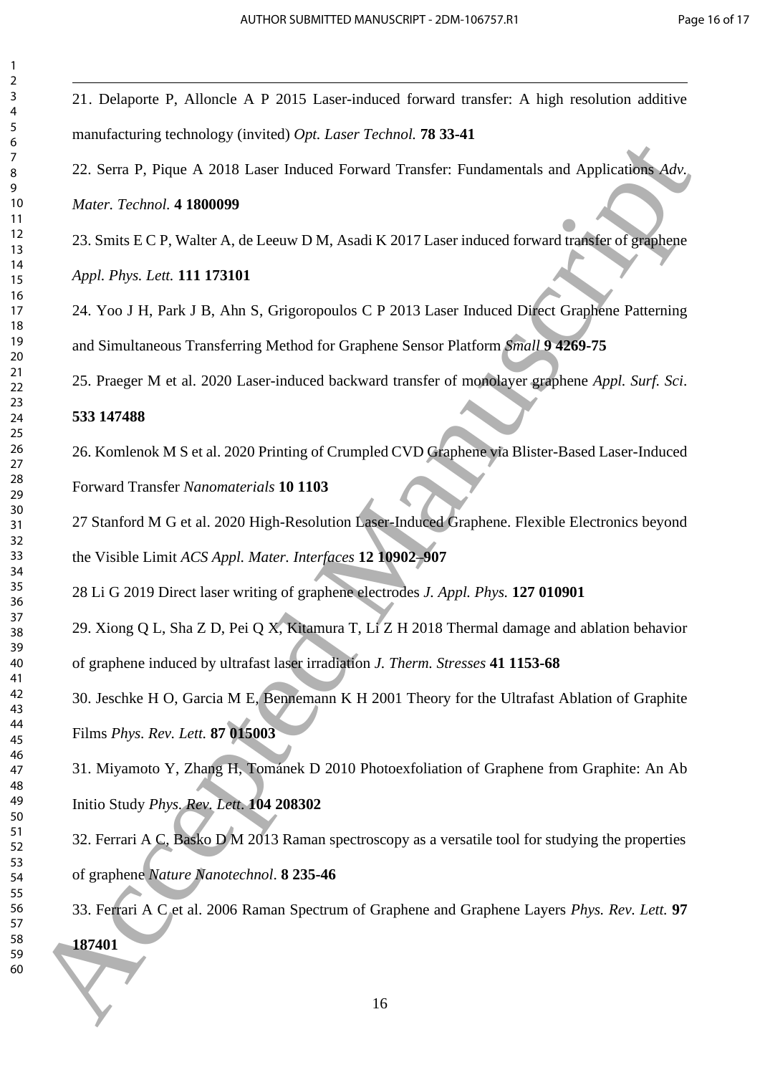21. Delaporte P, Alloncle A P 2015 Laser-induced forward transfer: A high resolution additive manufacturing technology (invited) *Opt. Laser Technol.* **78 33-41** 22. Serra P, Pique A 2018 Laser Induced Forward Transfer: Fundamentals and Applications *Adv. Mater. Technol.* **4 1800099** 23. Smits E C P, Walter A, de Leeuw D M, Asadi K 2017 Laser induced forward transfer of graphene *Appl. Phys. Lett.* **111 173101** 24. Yoo J H, Park J B, Ahn S, Grigoropoulos C P 2013 Laser Induced Direct Graphene Patterning and Simultaneous Transferring Method for Graphene Sensor Platform *Small* **9 4269-75** 25. Praeger M et al. 2020 Laser-induced backward transfer of monolayer graphene *Appl. Surf. Sci*. **147488** 26. Komlenok M S et al. 2020 Printing of Crumpled CVD Graphene via Blister-Based Laser-Induced Forward Transfer *Nanomaterials* **10 1103** Stanford M G et al. 2020 High-Resolution Laser-Induced Graphene. Flexible Electronics beyond the Visible Limit *ACS Appl. Mater. Interfaces* **12 10902–907** Li G 2019 Direct laser writing of graphene electrodes *J. Appl. Phys.* **127 010901** 29. Xiong Q L, Sha Z D, Pei Q X, Kitamura T, Li Z H 2018 Thermal damage and ablation behavior of graphene induced by ultrafast laser irradiation *J. Therm. Stresses* **41 1153-68** 30. Jeschke H O, Garcia M E, Bennemann K H 2001 Theory for the Ultrafast Ablation of Graphite Films *Phys. Rev. Lett.* **87 015003** 31. Miyamoto Y, Zhang H, Tománek D 2010 Photoexfoliation of Graphene from Graphite: An Ab Initio Study *Phys. Rev. Lett*. **104 208302** 32. Ferrari A C, Basko D M 2013 Raman spectroscopy as a versatile tool for studying the properties of graphene *Nature Nanotechnol*. **8 235-46** 33. Ferrari A C et al. 2006 Raman Spectrum of Graphene and Graphene Layers *Phys. Rev. Lett.* **97** 22. Sem P: Physics At 2018 Lister Induced Forward Transferr Fundamentals and Applications Adv.<br>
22. Sem P: Physics A 2008 Lister Induced Forward Transferr Fundamentals and Applications Adv.<br>
23. Smits LC P. Walter A, de L